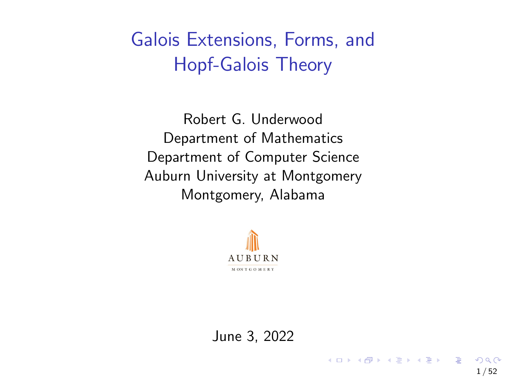<span id="page-0-0"></span>Galois Extensions, Forms, and Hopf-Galois Theory

Robert G. Underwood Department of Mathematics Department of Computer Science Auburn University at Montgomery Montgomery, Alabama



June 3, 2022

1 / 52

 $\Omega$ 

メロトメ 御 トメ 差 トメ 差 トー 差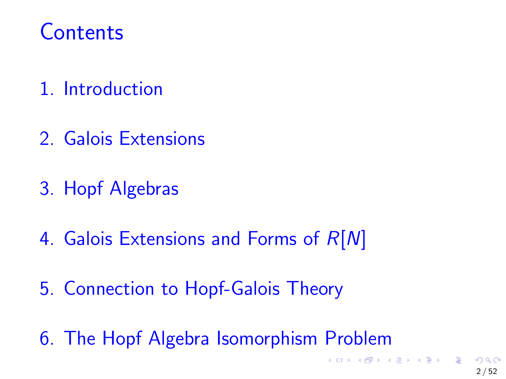# **Contents**

- 1. Introduction
- 2. Galois Extensions
- 3. Hopf Algebras
- 4. Galois Extensions and Forms of  $R[N]$
- 5. Connection to Hopf-Galois Theory
- 6. The Hopf Algebra Isomorphism Problem

K ロ ▶ K @ ▶ K ミ ▶ K ミ ▶ │ 글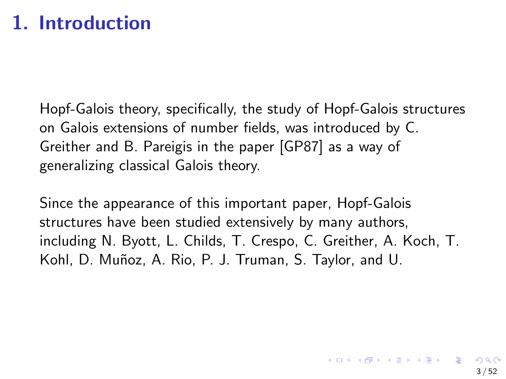## 1. Introduction

Hopf-Galois theory, specifically, the study of Hopf-Galois structures on Galois extensions of number fields, was introduced by C. Greither and B. Pareigis in the paper [\[GP87\]](#page-53-0) as a way of generalizing classical Galois theory.

Since the appearance of this important paper, Hopf-Galois structures have been studied extensively by many authors, including N. Byott, L. Childs, T. Crespo, C. Greither, A. Koch, T. Kohl, D. Muñoz, A. Rio, P. J. Truman, S. Taylor, and U.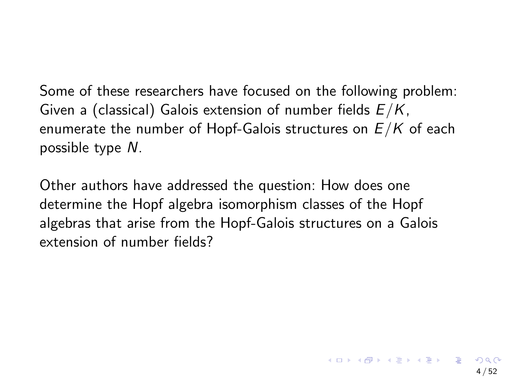Some of these researchers have focused on the following problem: Given a (classical) Galois extension of number fields  $E/K$ , enumerate the number of Hopf-Galois structures on  $E/K$  of each possible type N.

Other authors have addressed the question: How does one determine the Hopf algebra isomorphism classes of the Hopf algebras that arise from the Hopf-Galois structures on a Galois extension of number fields?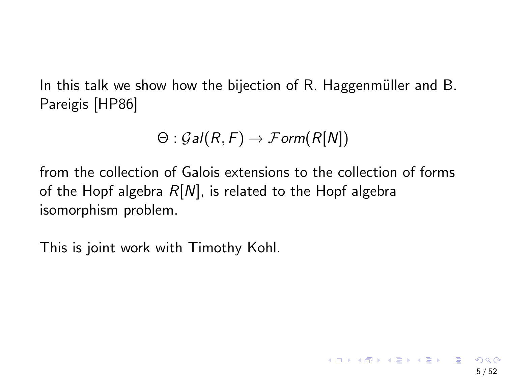In this talk we show how the bijection of  $R$ . Haggenmüller and  $B$ . Pareigis [\[HP86\]](#page-53-1)

$$
\Theta: \mathcal{G}al(R, F) \to \mathcal{F}orm(R[N])
$$

from the collection of Galois extensions to the collection of forms of the Hopf algebra  $R[N]$ , is related to the Hopf algebra isomorphism problem.

This is joint work with Timothy Kohl.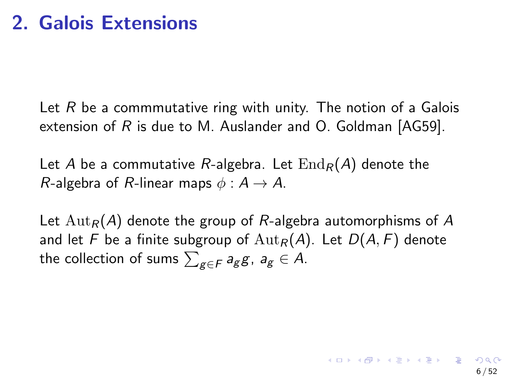Let  $R$  be a commmutative ring with unity. The notion of a Galois extension of R is due to M. Auslander and O. Goldman  $[AG59]$ .

Let A be a commutative R-algebra. Let  $\text{End}_R(A)$  denote the R-algebra of R-linear maps  $\phi : A \rightarrow A$ .

Let  ${\rm Aut}_R(A)$  denote the group of R-algebra automorphisms of A and let F be a finite subgroup of  ${\rm Aut}_R(A)$ . Let  $D(A, F)$  denote the collection of sums  $\sum_{\mathcal{g}\in\mathcal{F}}a_{\mathcal{g}}\mathcal{g}$ ,  $a_{\mathcal{g}}\in\mathcal{A}$ .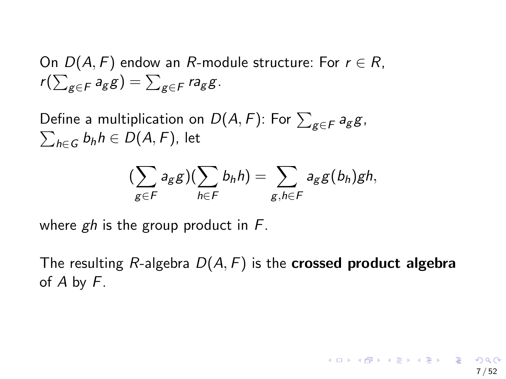On  $D(A, F)$  endow an R-module structure: For  $r \in R$ ,  $r(\sum_{g\in\mathcal{F}}a_g g)=\sum_{g\in\mathcal{F}}ra_g g.$ 

Define a multiplication on  $D(A,F)$ : For  $\sum_{g\in F}a_g g$ ,  $\sum_{h\in G}b_hh\in D(A,F)$ , let

$$
(\sum_{g\in F}a_g g)(\sum_{h\in F}b_h h)=\sum_{g,h\in F}a_g g(b_h)gh,
$$

where  $gh$  is the group product in  $F$ .

The resulting R-algebra  $D(A, F)$  is the **crossed product algebra** of A by F.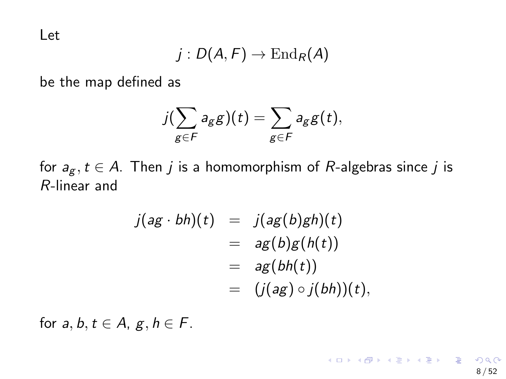Let

$$
j:D(A,F)\to\operatorname{End}_R(A)
$$

be the map defined as

$$
j(\sum_{g\in F}a_gg)(t)=\sum_{g\in F}a_gg(t),
$$

for  $a_g, t \in A$ . Then j is a homomorphism of R-algebras since j is R-linear and

$$
j(ag \cdot bh)(t) = j(ag(b)gh)(t)
$$
  
=  $ag(b)g(h(t))$   
=  $ag(bh(t))$   
=  $(j(ag) \circ j(bh))(t),$ 

for  $a, b, t \in A$ ,  $g, h \in F$ .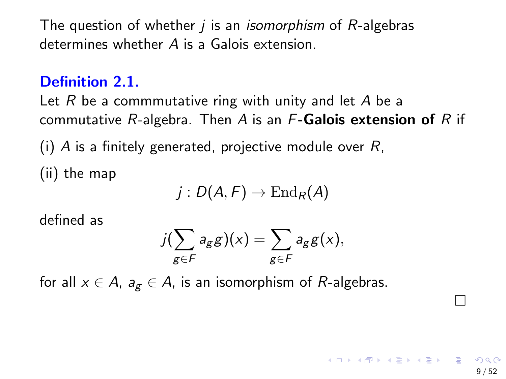The question of whether  *is an <i>isomorphism* of *-algebras* determines whether A is a Galois extension.

### Definition 2.1.

Let  $R$  be a commmutative ring with unity and let  $A$  be a commutative  $R$ -algebra. Then A is an  $F$ -Galois extension of R if

(i) A is a finitely generated, projective module over  $R$ ,

(ii) the map

$$
j:D(A,F)\to\operatorname{End}_R(A)
$$

defined as

$$
j(\sum_{g\in F}a_g g)(x)=\sum_{g\in F}a_g g(x),
$$

for all  $x \in A$ ,  $a_g \in A$ , is an isomorphism of R-algebras.

П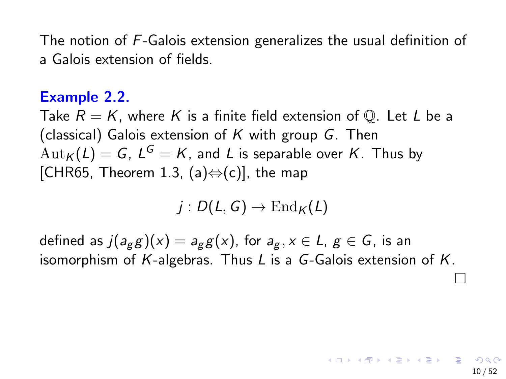The notion of F-Galois extension generalizes the usual definition of a Galois extension of fields.

### Example 2.2.

Take  $R = K$ , where K is a finite field extension of Q. Let L be a (classical) Galois extension of  $K$  with group  $G$ . Then  $\mathrm{Aut}_\mathcal{K}(L)=\mathcal{G},\ L^\mathcal{G}=\mathcal{K},$  and  $L$  is separable over  $\mathcal{K}.$  Thus by [\[CHR65,](#page-52-1) Theorem 1.3, (a) $\Leftrightarrow$  (c)], the map

 $j: D(L, G) \to \text{End}_K(L)$ 

defined as  $j(a_{g}g)(x) = a_{g}g(x)$ , for  $a_{g}$ ,  $x \in L$ ,  $g \in G$ , is an isomorphism of  $K$ -algebras. Thus  $L$  is a  $G$ -Galois extension of  $K$ .

 $\Box$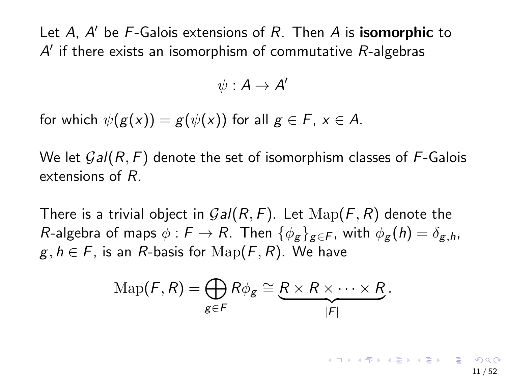Let A, A' be F-Galois extensions of R. Then A is isomorphic to  $A'$  if there exists an isomorphism of commutative  $R$ -algebras

$$
\psi:A\to A'
$$

for which  $\psi(g(x)) = g(\psi(x))$  for all  $g \in F$ ,  $x \in A$ .

We let  $Gal(R, F)$  denote the set of isomorphism classes of F-Galois extensions of R.

There is a trivial object in  $Gal(R, F)$ . Let  $\mathrm{Map}(F, R)$  denote the R-algebra of maps  $\phi : F \to R$ . Then  $\{\phi_g\}_{g \in F}$ , with  $\phi_g(h) = \delta_{g,h}$ ,  $g, h \in F$ , is an R-basis for  $\text{Map}(F, R)$ . We have

$$
\mathrm{Map}(F,R)=\bigoplus_{g\in F}R\phi_g\cong\underbrace{R\times R\times\cdots\times R}_{|F|}.
$$

◆ロメ ◆御メ ◆唐メ ◆唐メン唐 11 / 52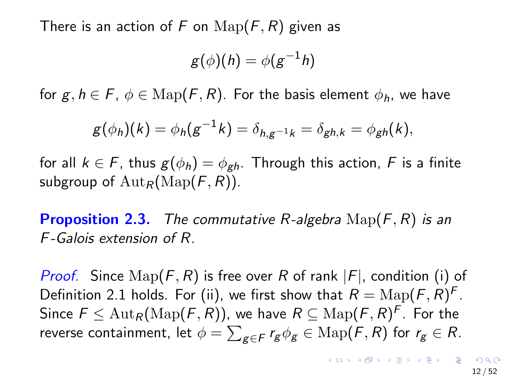There is an action of F on  $\text{Map}(F, R)$  given as

$$
g(\phi)(h) = \phi(g^{-1}h)
$$

for  $g, h \in F$ ,  $\phi \in \text{Map}(F, R)$ . For the basis element  $\phi_h$ , we have

$$
g(\phi_h)(k) = \phi_h(g^{-1}k) = \delta_{h,g^{-1}k} = \delta_{gh,k} = \phi_{gh}(k),
$$

for all  $k \in F$ , thus  $g(\phi_h) = \phi_{gh}$ . Through this action, F is a finite subgroup of  $\text{Aut}_R(\text{Map}(F, R))$ .

**Proposition 2.3.** The commutative R-algebra  $\text{Map}(F, R)$  is an F-Galois extension of R.

*Proof.* Since  $\text{Map}(F, R)$  is free over R of rank  $|F|$ , condition (i) of Definition 2.1 holds. For (ii), we first show that  $R = \text{Map}(F, R)^F$ . Since  $\mathit{F} \leq \mathrm{Aut}_\mathcal{R}(\mathrm{Map}(\mathit{F}, \mathit{R}))$ , we have  $\mathcal{R} \subseteq \mathrm{Map}(\mathit{F}, \mathit{R})^\mathcal{F}$ . For the reverse containment, let  $\phi=\sum_{\mathcal{g}\in\mathcal{F}} r_{\mathcal{g}}\phi_{\mathcal{g}}\in\mathrm{Map}(\mathcal{F},\mathcal{R})$  for  $r_{\mathcal{g}}\in\mathcal{R}.$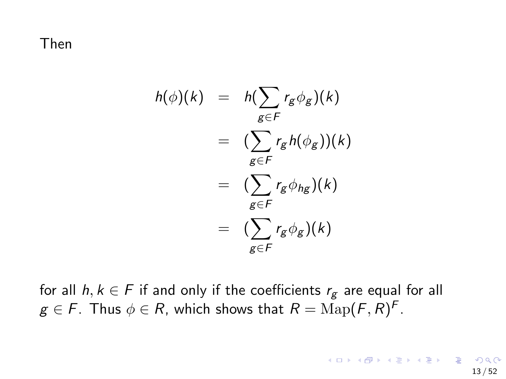Then

$$
h(\phi)(k) = h(\sum_{g \in F} r_g \phi_g)(k)
$$
  
= 
$$
(\sum_{g \in F} r_g h(\phi_g))(k)
$$
  
= 
$$
(\sum_{g \in F} r_g \phi_{hg})(k)
$$
  
= 
$$
(\sum_{g \in F} r_g \phi_g)(k)
$$

for all  $h, k \in F$  if and only if the coefficients  $r_g$  are equal for all  $g\in\mathit{F}.$  Thus  $\phi\in\mathit{R},$  which shows that  $R=\mathrm{Map}(\mathit{F},\mathit{R})^{\mathit{F}}.$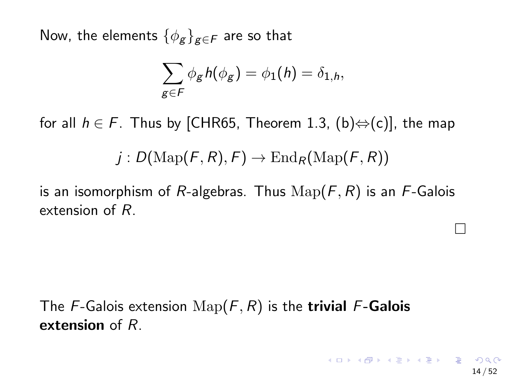Now, the elements  $\{\phi_g\}_{g\in\mathcal{F}}$  are so that

$$
\sum_{g\in F}\phi_g h(\phi_g)=\phi_1(h)=\delta_{1,h},
$$

for all  $h \in F$ . Thus by [\[CHR65,](#page-52-1) Theorem 1.3, (b) $\Leftrightarrow$  (c)], the map

$$
j: D(\mathrm{Map}(F,R),F) \to \mathrm{End}_R(\mathrm{Map}(F,R))
$$

is an isomorphism of R-algebras. Thus  $\text{Map}(F, R)$  is an F-Galois extension of R.

The F-Galois extension  $\mathrm{Map}(F, R)$  is the trivial F-Galois extension of R.

 $\Box$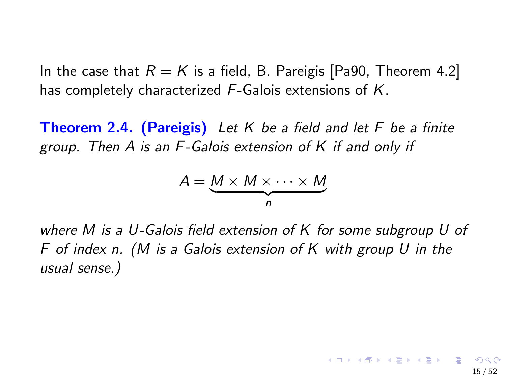In the case that  $R = K$  is a field, B. Pareigis [\[Pa90,](#page-54-0) Theorem 4.2] has completely characterized F-Galois extensions of K.

**Theorem 2.4. (Pareigis)** Let K be a field and let F be a finite group. Then A is an F-Galois extension of K if and only if

$$
A = \underbrace{M \times M \times \cdots \times M}_{n}
$$

where M is a U-Galois field extension of K for some subgroup U of F of index n. (M is a Galois extension of K with group U in the usual sense.)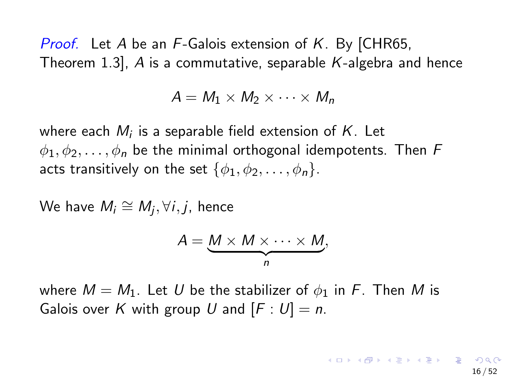*Proof.* Let A be an  $F$ -Galois extension of K. By [\[CHR65,](#page-52-1) Theorem 1.3],  $A$  is a commutative, separable  $K$ -algebra and hence

$$
A = M_1 \times M_2 \times \cdots \times M_n
$$

where each  $M_i$  is a separable field extension of  $K_{\cdot}$  Let  $\phi_1, \phi_2, \ldots, \phi_n$  be the minimal orthogonal idempotents. Then F acts transitively on the set  $\{\phi_1, \phi_2, \ldots, \phi_n\}$ .

We have  $M_i \cong M_j, \forall i,j$ , hence

$$
A = \underbrace{M \times M \times \cdots \times M}_{n},
$$

where  $M = M_1$ . Let U be the stabilizer of  $\phi_1$  in F. Then M is Galois over K with group U and  $[F: U] = n$ .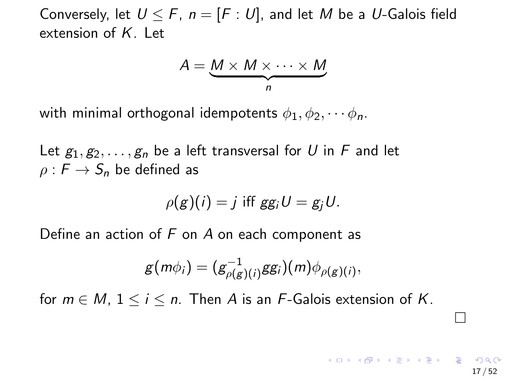Conversely, let  $U \leq F$ ,  $n = [F: U]$ , and let M be a U-Galois field extension of  $K$ . Let

$$
A = \underbrace{M \times M \times \cdots \times M}_{n}
$$

with minimal orthogonal idempotents  $\phi_1, \phi_2, \cdots \phi_n$ .

Let  $g_1, g_2, \ldots, g_n$  be a left transversal for U in F and let  $\rho : F \to S_n$  be defined as

$$
\rho(g)(i) = j \text{ iff } gg_iU = g_jU.
$$

Define an action of  $F$  on  $A$  on each component as

$$
g(m\phi_i)=(g_{\rho(g)(i)}^{-1}gg_i)(m)\phi_{\rho(g)(i)},
$$

for  $m \in M$ ,  $1 \le i \le n$ . Then A is an F-Galois extension of K.

 $\Box$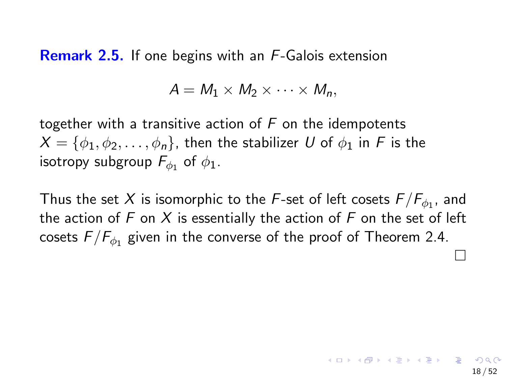**Remark 2.5.** If one begins with an F-Galois extension

$$
A = M_1 \times M_2 \times \cdots \times M_n,
$$

together with a transitive action of  $F$  on the idempotents  $X = \{\phi_1, \phi_2, \dots, \phi_n\}$ , then the stabilizer U of  $\phi_1$  in F is the isotropy subgroup  $\mathit{F}_{\phi_1}$  of  $\phi_1.$ 

Thus the set  $X$  is isomorphic to the  $\mathit{F}\textrm{-set}$  of left cosets  $\mathit{F}/\mathit{F}_{\phi_1}$ , and the action of  $F$  on  $X$  is essentially the action of  $F$  on the set of left cosets  $F/\overline{F_{\phi_1}}$  given in the converse of the proof of Theorem 2.4.  $\Box$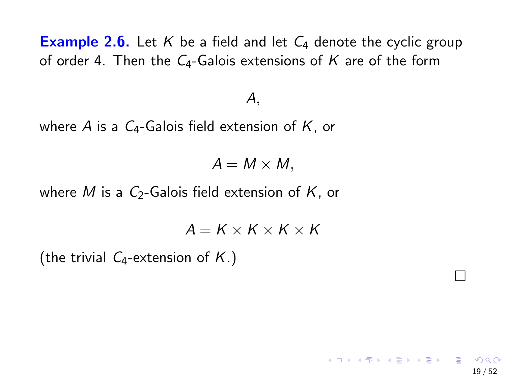**Example 2.6.** Let K be a field and let  $C_4$  denote the cyclic group of order 4. Then the  $C_4$ -Galois extensions of K are of the form

### A,

where A is a  $C_4$ -Galois field extension of K, or

 $A = M \times M$ ,

where M is a  $C_2$ -Galois field extension of K, or

 $A = K \times K \times K \times K$ 

 $\Box$ 

 $\mathbf{A} \equiv \mathbf{A} + \mathbf{A} + \mathbf{B} + \mathbf{A} + \mathbf{B} + \mathbf{A} + \mathbf{B} + \mathbf{A}$ 

19 / 52

(the trivial  $C_4$ -extension of  $K$ .)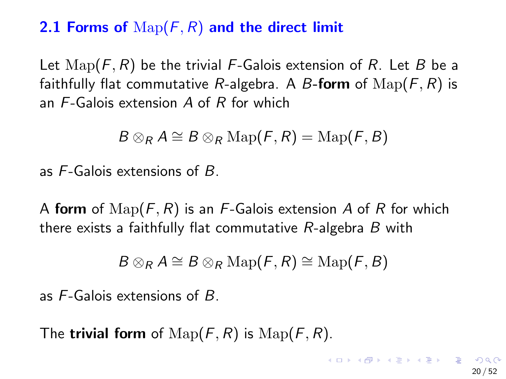### 2.1 Forms of  $\text{Map}(F, R)$  and the direct limit

Let  $\text{Map}(F, R)$  be the trivial F-Galois extension of R. Let B be a faithfully flat commutative R-algebra. A B-form of  $\text{Map}(F, R)$  is an F-Galois extension A of R for which

$$
B\otimes_R A\cong B\otimes_R\operatorname{Map}(\digamma,R)=\operatorname{Map}(\digamma,B)
$$

as F-Galois extensions of B.

A form of  $\text{Map}(F, R)$  is an F-Galois extension A of R for which there exists a faithfully flat commutative  $R$ -algebra  $B$  with

$$
B\otimes_R A\cong B\otimes_R\operatorname{Map}(\digamma,R)\cong\operatorname{Map}(\digamma,B)
$$

as F-Galois extensions of B.

The **trivial form** of  $\text{Map}(F, R)$  is  $\text{Map}(F, R)$ .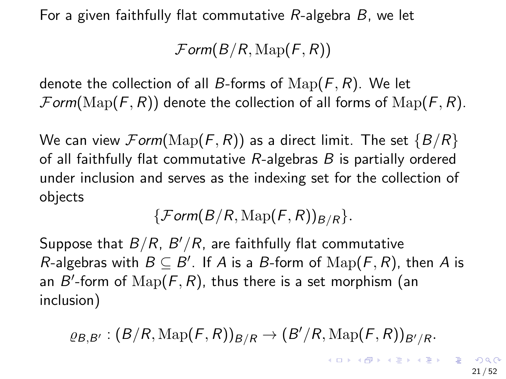For a given faithfully flat commutative  $R$ -algebra  $B$ , we let

 $\mathcal{F}$ orm( $B/R$ ,  $\mathrm{Map}(F, R)$ )

denote the collection of all B-forms of  $\text{Map}(F, R)$ . We let  $\mathcal{F}$ orm( $\mathrm{Map}(F, R)$ ) denote the collection of all forms of  $\mathrm{Map}(F, R)$ .

We can view  $\mathcal{F}orm(\mathrm{Map}(F, R))$  as a direct limit. The set  $\{B/R\}$ of all faithfully flat commutative  $R$ -algebras  $B$  is partially ordered under inclusion and serves as the indexing set for the collection of objects

 $\{Form(B/R, \mathrm{Map}(F, R))_{B/R}\}.$ 

Suppose that  $B/R$ ,  $B^{\prime}/R$ , are faithfully flat commutative R-algebras with  $B \subseteq B'$ . If A is a B-form of  $\mathrm{Map}(F, R)$ , then A is an  $B'$ -form of  $\operatorname{Map}(F,R)$ , thus there is a set morphism (an inclusion)

 $\varrho_{\mathcal{B},\mathcal{B}'}: (\mathcal{B}/\mathcal{R},\mathrm{Map}(\mathcal{F},\mathcal{R}))_{\mathcal{B}/\mathcal{R}} \to (\mathcal{B}'/\mathcal{R},\mathrm{Map}(\mathcal{F},\mathcal{R}))_{\mathcal{B}'/\mathcal{R}}.$ 

**KORKARYKERKER ORA**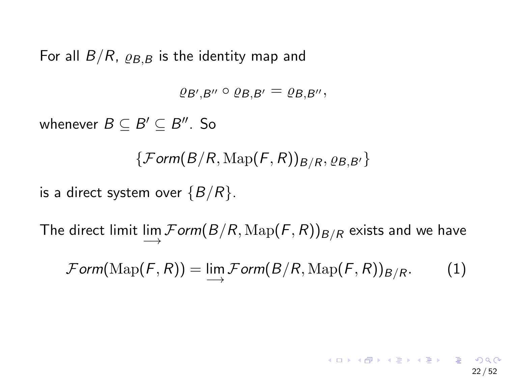For all  $B/R$ ,  $\varrho_{B,B}$  is the identity map and

 $\varrho_{B',B''}\circ \varrho_{B,B'}=\varrho_{B,B''},$ 

whenever  $B \subseteq B' \subseteq B''$ . So

 $\{Form(B/R, \mathrm{Map}(F, R))_{B/R}, \varrho_{B,B'}\}$ 

is a direct system over  $\{B/R\}$ .

The direct limit  $\displaystyle\lim_{\longrightarrow} {{\mathcal F}om} (B/R, \mathrm{Map} (F, R))_{B/R}$  exists and we have

 $\mathcal{F} \textit{orm}(\text{Map}(F,R)) = \lim_{\longrightarrow} \mathcal{F} \textit{orm}(B/R, \text{Map}(F,R))_{B/R}.$  (1)

#### K ロ ▶ K 個 ▶ K 글 ▶ K 글 ▶ │ 글 │ ◆) Q (◇ 22 / 52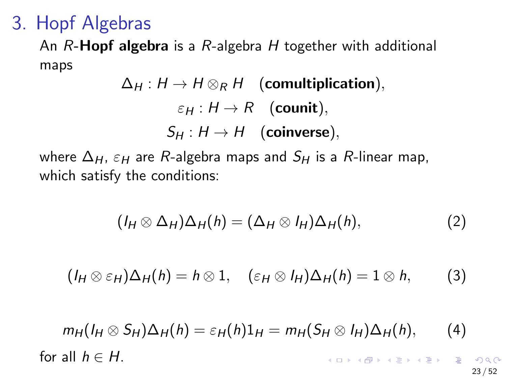### 3. Hopf Algebras

An  $R$ -Hopf algebra is a  $R$ -algebra  $H$  together with additional maps

$$
\Delta_H: H \to H \otimes_R H \quad \text{(comultiplication)},
$$
\n
$$
\varepsilon_H: H \to R \quad \text{(count)},
$$
\n
$$
S_H: H \to H \quad \text{(coinverse)},
$$

where  $\Delta_H$ ,  $\varepsilon_H$  are R-algebra maps and  $S_H$  is a R-linear map, which satisfy the conditions:

<span id="page-22-0"></span>
$$
(I_H \otimes \Delta_H)\Delta_H(h) = (\Delta_H \otimes I_H)\Delta_H(h), \qquad (2)
$$

<span id="page-22-1"></span>
$$
(I_H \otimes \varepsilon_H)\Delta_H(h) = h \otimes 1, \quad (\varepsilon_H \otimes I_H)\Delta_H(h) = 1 \otimes h, \qquad (3)
$$

<span id="page-22-2"></span>
$$
m_H(I_H \otimes S_H)\Delta_H(h) = \varepsilon_H(h)1_H = m_H(S_H \otimes I_H)\Delta_H(h), \qquad (4)
$$
  
for all  $h \in H$ .

 $\curvearrowright$ 23 / 52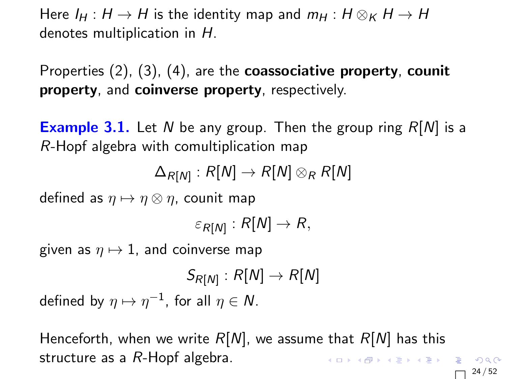Here  $I_H : H \to H$  is the identity map and  $m_H : H \otimes_K H \to H$ denotes multiplication in H.

Properties [\(2\)](#page-22-0), [\(3\)](#page-22-1), [\(4\)](#page-22-2), are the coassociative property, counit property, and coinverse property, respectively.

**Example 3.1.** Let N be any group. Then the group ring  $R[N]$  is a R-Hopf algebra with comultiplication map

 $\Delta_{R[N]} : R[N] \rightarrow R[N] \otimes_{R} R[N]$ 

defined as  $\eta \mapsto \eta \otimes \eta$ , counit map

$$
\varepsilon_{R[N]}:R[N]\to R,
$$

given as  $\eta \mapsto 1$ , and coinverse map

$$
S_{R[N]}: R[N] \to R[N]
$$
  
defined by  $\eta \mapsto \eta^{-1}$ , for all  $\eta \in N$ .

Henceforth, when we write  $R[N]$ , we assume that  $R[N]$  has this structure as a R-Hopf algebra. K ロ ▶ K 個 ▶ K 할 ▶ K 할 ▶ 이 할 → 9 Q Q ·

 $\Box$ 24 / 52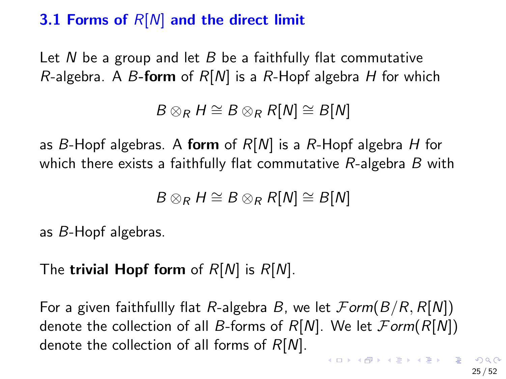### 3.1 Forms of  $R[N]$  and the direct limit

Let N be a group and let B be a faithfully flat commutative R-algebra. A B-form of  $R[N]$  is a R-Hopf algebra H for which

 $B \otimes_R H \cong B \otimes_R R[N] \cong B[N]$ 

as B-Hopf algebras. A form of  $R[N]$  is a R-Hopf algebra H for which there exists a faithfully flat commutative  $R$ -algebra  $B$  with

$$
B\otimes_R H\cong B\otimes_R R[N]\cong B[N]
$$

as B-Hopf algebras.

The trivial Hopf form of  $R[N]$  is  $R[N]$ .

For a given faithfullly flat R-algebra B, we let  $\mathcal{F}orm(B/R, R[N])$ denote the collection of all B-forms of  $R[N]$ . We let  $\mathcal{F}orm(R[N])$ denote the collection of all forms of  $R[N]$ . **KORKAR KERKER ORA**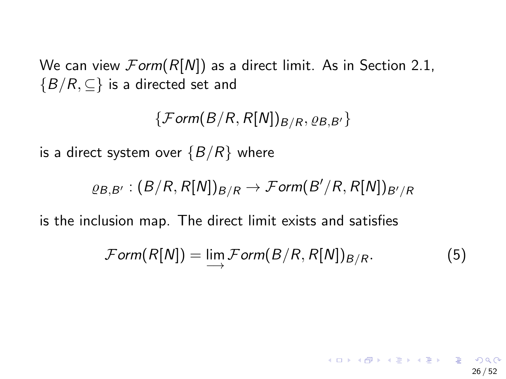<span id="page-25-0"></span>We can view  $\mathcal{F}orm(R[N])$  as a direct limit. As in Section 2.1,  ${B/R, \subseteq}$  is a directed set and

 $\{Form(B/R, R[N])_{B/R}, \varrho_{B,B'}\}$ 

is a direct system over  $\{B/R\}$  where

$$
\varrho_{B,B'}:(B/R,R[N])_{B/R}\to \mathcal{F}orm(B'/R,R[N])_{B'/R}
$$

is the inclusion map. The direct limit exists and satisfies

$$
\mathcal{F}orm(R[N]) = \lim_{\longrightarrow} \mathcal{F}orm(B/R, R[N])_{B/R}.
$$
 (5)

26 / 52

イロト イ団 トイミト イミト・ミーの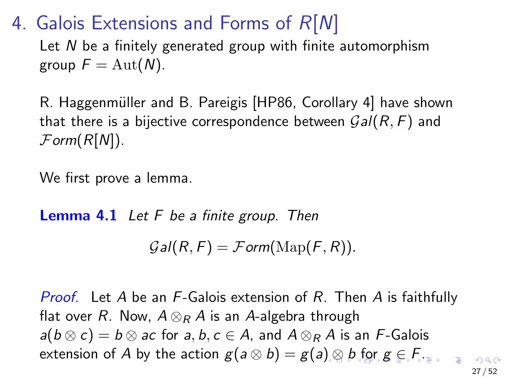<span id="page-26-0"></span>4. Galois Extensions and Forms of  $R[N]$ 

Let N be a finitely generated group with finite automorphism group  $F = \text{Aut}(N)$ .

R. Haggenmüller and B. Pareigis [\[HP86,](#page-53-1) Corollary 4] have shown that there is a bijective correspondence between  $Gal(R, F)$  and  $\mathcal{F}$ orm $(R[N])$ .

We first prove a lemma.

**Lemma 4.1** Let  $F$  be a finite group. Then

 $Gal(R, F) = Form(Map(F, R)).$ 

**Proof.** Let A be an F-Galois extension of R. Then A is faithfully flat over R. Now,  $A \otimes_R A$  is an A-algebra through  $a(b \otimes c) = b \otimes ac$  for a, b,  $c \in A$ , and  $A \otimes_R A$  is an F-Galois extension of A [b](#page-27-0)y the action  $g(a \otimes b) = g(a) \otimes b$  $g(a \otimes b) = g(a) \otimes b$  $g(a \otimes b) = g(a) \otimes b$  $g(a \otimes b) = g(a) \otimes b$  $g(a \otimes b) = g(a) \otimes b$  [for](#page-26-0)  $g \in F$  $g \in F$ [.](#page-0-0)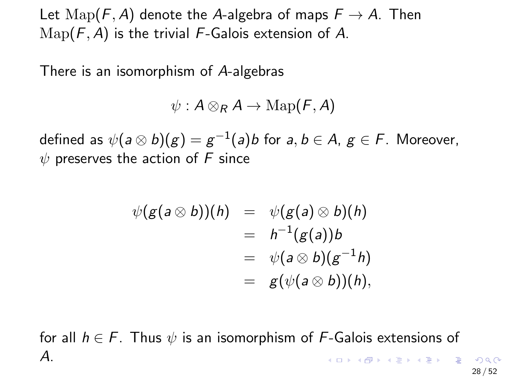<span id="page-27-0"></span>Let  $\text{Map}(F, A)$  denote the A-algebra of maps  $F \to A$ . Then  $\text{Map}(F, A)$  is the trivial F-Galois extension of A.

There is an isomorphism of A-algebras

$$
\psi: A \otimes_R A \to \mathrm{Map}(F, A)
$$

defined as  $\psi(a\otimes b)(g)=g^{-1}(a)b$  for  $a,b\in A,$   $g\in \digamma.$  Moreover,  $\psi$  preserves the action of F since

$$
\psi(g(a \otimes b))(h) = \psi(g(a) \otimes b)(h)
$$
  
=  $h^{-1}(g(a))b$   
=  $\psi(a \otimes b)(g^{-1}h)$   
=  $g(\psi(a \otimes b))(h)$ ,

for all  $h \in F$ . Thus  $\psi$  is an isomorphism of F-Galois extensions of A.  $\mathbf{A} \equiv \mathbf{A} + \mathbf{A} + \mathbf{A} + \mathbf{A} + \mathbf{A} + \mathbf{A} + \mathbf{A} + \mathbf{A} + \mathbf{A} + \mathbf{A} + \mathbf{A} + \mathbf{A} + \mathbf{A} + \mathbf{A} + \mathbf{A} + \mathbf{A} + \mathbf{A} + \mathbf{A} + \mathbf{A} + \mathbf{A} + \mathbf{A} + \mathbf{A} + \mathbf{A} + \mathbf{A} + \mathbf{A} + \mathbf{A} + \mathbf{A} + \mathbf{A} + \mathbf{A} + \mathbf{A} + \math$ 

28 / 52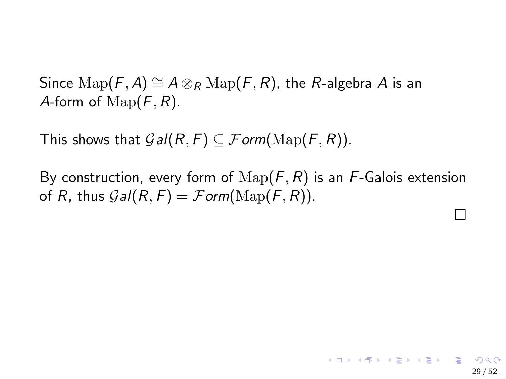Since  $\text{Map}(F, A) \cong A \otimes_R \text{Map}(F, R)$ , the R-algebra A is an A-form of  $\text{Map}(F, R)$ .

This shows that  $Gal(R, F) \subseteq Form(\mathrm{Map}(F, R))$ .

By construction, every form of  $\mathrm{Map}(F, R)$  is an F-Galois extension of R, thus  $Gal(R, F) = Form(Map(F, R))$ .

 $\Box$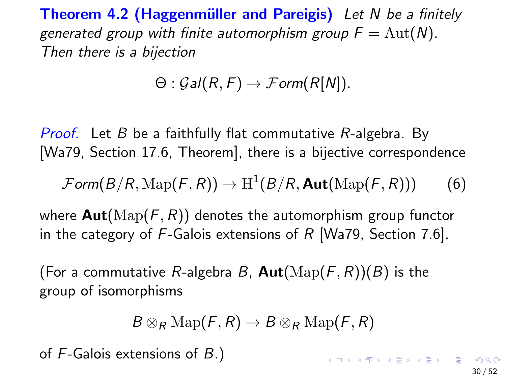**Theorem 4.2 (Haggenmüller and Pareigis)** Let N be a finitely generated group with finite automorphism group  $F = Aut(N)$ . Then there is a bijection

$$
\Theta: \mathcal{G}al(R, F) \to \mathcal{F}orm(R[N]).
$$

*Proof.* Let B be a faithfully flat commutative  $R$ -algebra. By [\[Wa79,](#page-54-2) Section 17.6, Theorem], there is a bijective correspondence

$$
\mathcal{F} \textit{orm}(B/R, \text{Map}(F, R)) \to \mathrm{H}^1(B/R, \textbf{Aut}(\text{Map}(F, R))) \tag{6}
$$

where  $\text{Aut}(\text{Map}(F, R))$  denotes the automorphism group functor in the category of  $F$ -Galois extensions of R [\[Wa79,](#page-54-2) Section 7.6].

(For a commutative R-algebra B,  $\text{Aut}(\text{Map}(F,R))(B)$  is the group of isomorphisms

$$
B\otimes_R\operatorname{Map}(\mathcal{F},R)\to B\otimes_R\operatorname{Map}(\mathcal{F},R)
$$

of F-Galois extensions of B.)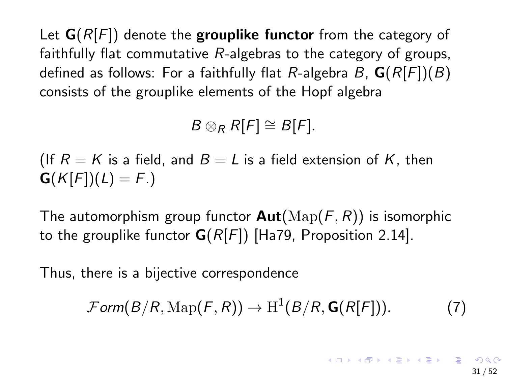Let  $G(R[F])$  denote the grouplike functor from the category of faithfully flat commutative  $R$ -algebras to the category of groups, defined as follows: For a faithfully flat R-algebra B,  $G(R[F])(B)$ consists of the grouplike elements of the Hopf algebra

 $B \otimes_R R[F] \cong B[F].$ 

(If  $R = K$  is a field, and  $B = L$  is a field extension of K, then  $G(K[F])(L) = F.$ 

The automorphism group functor  $\text{Aut}(\text{Map}(F, R))$  is isomorphic to the grouplike functor  $G(R[F])$  [\[Ha79,](#page-53-2) Proposition 2.14].

Thus, there is a bijective correspondence

<span id="page-30-0"></span> $\mathcal{F} \text{orm}(B/R, \text{Map}(F, R)) \to \text{H}^1(B/R, \textbf{G}(R[F])).$  (7)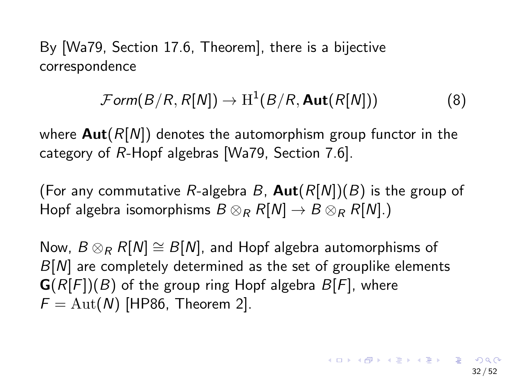By [\[Wa79,](#page-54-2) Section 17.6, Theorem], there is a bijective correspondence

$$
\mathcal{F}orm(B/R, R[N]) \to H^1(B/R, \mathbf{Aut}(R[N])) \tag{8}
$$

where  $Aut(R[N])$  denotes the automorphism group functor in the category of R-Hopf algebras [\[Wa79,](#page-54-2) Section 7.6].

(For any commutative R-algebra B,  $Aut(R[N])(B)$  is the group of Hopf algebra isomorphisms  $B \otimes_R R[N] \to B \otimes_R R[N]$ .)

Now,  $B \otimes_R R[N] \cong B[N]$ , and Hopf algebra automorphisms of  $B[N]$  are completely determined as the set of grouplike elements  $\mathbf{G}(R[F])(B)$  of the group ring Hopf algebra  $B[F]$ , where  $F = \text{Aut}(N)$  [\[HP86,](#page-53-1) Theorem 2].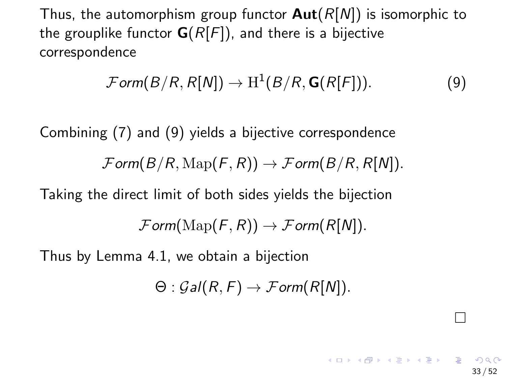Thus, the automorphism group functor  $Aut(R[N])$  is isomorphic to the grouplike functor  $G(R[F])$ , and there is a bijective correspondence

<span id="page-32-0"></span>
$$
\mathcal{F}orm(B/R, R[N]) \to H^1(B/R, \mathbf{G}(R[F])). \tag{9}
$$

Combining [\(7\)](#page-30-0) and [\(9\)](#page-32-0) yields a bijective correspondence  $\mathcal{F}$ orm $(B/R, \text{Map}(F, R)) \to \mathcal{F}$ orm $(B/R, R[N]).$ 

Taking the direct limit of both sides yields the bijection

 $\mathcal{F}$ orm( $\text{Map}(F, R)$ )  $\rightarrow \mathcal{F}$ orm( $R[N]$ ).

Thus by Lemma 4.1, we obtain a bijection

$$
\Theta: \mathcal{G}al(R,F) \to \mathcal{F}orm(R[N]).
$$

 $\Box$ 

イロト イ団 トメ ヨ トメ ヨ トー ヨー

33 / 52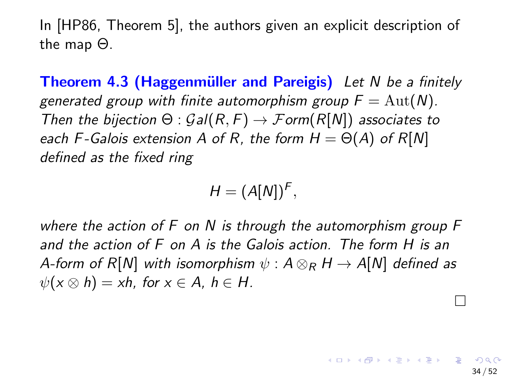In [\[HP86,](#page-53-1) Theorem 5], the authors given an explicit description of the map Θ.

**Theorem 4.3 (Haggenmüller and Pareigis)** Let N be a finitely generated group with finite automorphism group  $F = Aut(N)$ . Then the bijection  $\Theta$  :  $Gal(R, F) \rightarrow Form(R[N])$  associates to each F-Galois extension A of R, the form  $H = \Theta(A)$  of R[N] defined as the fixed ring

$$
H=(A[N])^F,
$$

where the action of  $F$  on  $N$  is through the automorphism group  $F$ and the action of F on A is the Galois action. The form H is an A-form of R[N] with isomorphism  $\psi: A \otimes_R H \rightarrow A[N]$  defined as  $\psi(x \otimes h) = xh$ , for  $x \in A$ ,  $h \in H$ .  $\Box$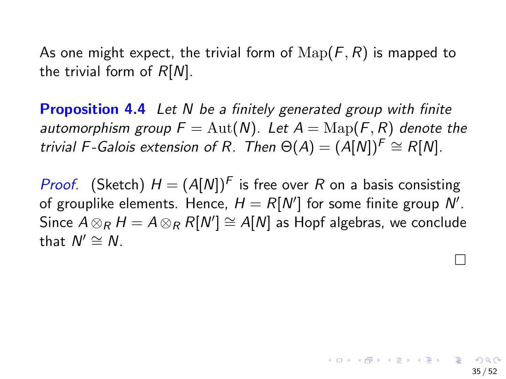As one might expect, the trivial form of  $\text{Map}(F, R)$  is mapped to the trivial form of  $R[N]$ .

**Proposition 4.4** Let N be a finitely generated group with finite automorphism group  $F = Aut(N)$ . Let  $A = \text{Map}(F, R)$  denote the trivial F-Galois extension of R. Then  $\Theta(A) = (A[N])^F \cong R[N]$ .

*Proof.* (Sketch)  $H = (A[N])^F$  is free over R on a basis consisting of grouplike elements. Hence,  $H = R[N']$  for some finite group N'. Since  $A \otimes_R H = A \otimes_R R[N'] \cong A[N]$  as Hopf algebras, we conclude that  $N' \cong N$ .

 $\Box$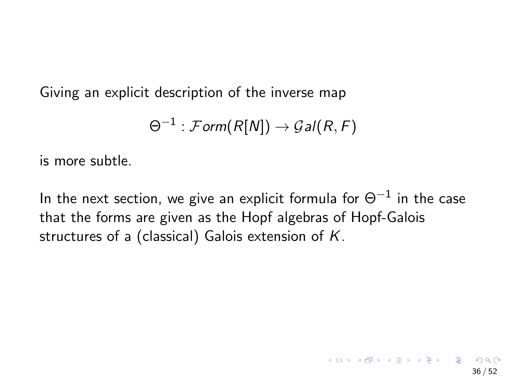Giving an explicit description of the inverse map

$$
\Theta^{-1} : \mathcal{F}orm(R[N]) \to \mathcal{G}al(R,F)
$$

is more subtle.

In the next section, we give an explicit formula for  $\Theta^{-1}$  in the case that the forms are given as the Hopf algebras of Hopf-Galois structures of a (classical) Galois extension of K.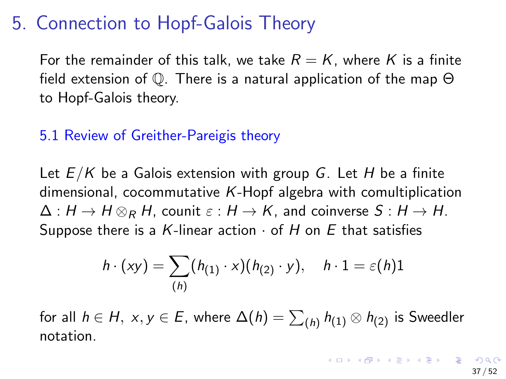### 5. Connection to Hopf-Galois Theory

For the remainder of this talk, we take  $R = K$ , where K is a finite field extension of Q. There is a natural application of the map Θ to Hopf-Galois theory.

### 5.1 Review of Greither-Pareigis theory

Let  $E/K$  be a Galois extension with group G. Let H be a finite dimensional, cocommutative K-Hopf algebra with comultiplication  $\Delta: H \to H \otimes_R H$ , counit  $\varepsilon: H \to K$ , and coinverse  $S: H \to H$ . Suppose there is a K-linear action  $\cdot$  of H on E that satisfies

$$
h \cdot (xy) = \sum_{(h)} (h_{(1)} \cdot x)(h_{(2)} \cdot y), \quad h \cdot 1 = \varepsilon(h)1
$$

for all  $h\in H,\ x,y\in E,$  where  $\Delta(h)=\sum_{(h)}h_{(1)}\otimes h_{(2)}$  is Sweedler notation.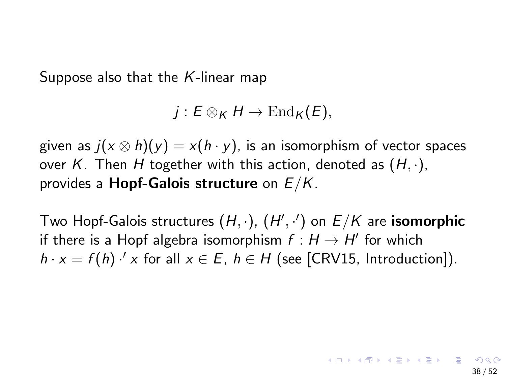Suppose also that the K-linear map

$$
j: E\otimes_K H\to \mathrm{End}_K(E),
$$

given as  $j(x \otimes h)(y) = x(h \cdot y)$ , is an isomorphism of vector spaces over K. Then H together with this action, denoted as  $(H, \cdot)$ , provides a **Hopf-Galois structure** on  $E/K$ .

Two Hopf-Galois structures  $(H, \cdot)$ ,  $(H', \cdot')$  on  $E/K$  are isomorphic if there is a Hopf algebra isomorphism  $f : H \to H'$  for which  $h \cdot x = f(h) \cdot x$  for all  $x \in E$ ,  $h \in H$  (see [\[CRV15,](#page-52-2) Introduction]).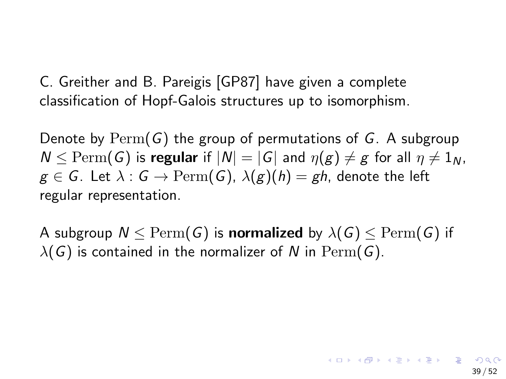C. Greither and B. Pareigis [\[GP87\]](#page-53-0) have given a complete classification of Hopf-Galois structures up to isomorphism.

Denote by  $\text{Perm}(G)$  the group of permutations of G. A subgroup  $N < \text{Perm}(G)$  is regular if  $|N| = |G|$  and  $\eta(g) \neq g$  for all  $\eta \neq 1_N$ ,  $g \in G$ . Let  $\lambda : G \to \mathrm{Perm}(G)$ ,  $\lambda(g)(h) = gh$ , denote the left regular representation.

A subgroup  $N \leq \text{Perm}(G)$  is normalized by  $\lambda(G) \leq \text{Perm}(G)$  if  $\lambda(G)$  is contained in the normalizer of N in Perm(G).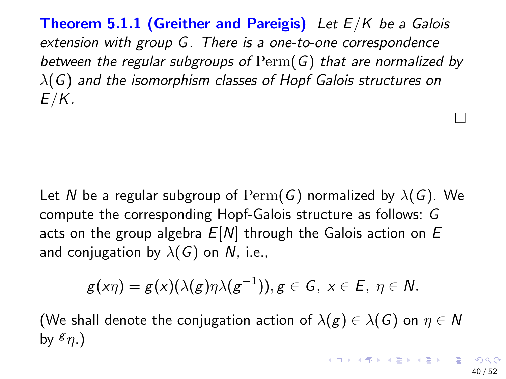<span id="page-39-0"></span>**Theorem 5.1.1 (Greither and Pareigis)** Let  $E/K$  be a Galois extension with group G. There is a one-to-one correspondence between the regular subgroups of  $\mathrm{Perm}(G)$  that are normalized by  $\lambda(G)$  and the isomorphism classes of Hopf Galois structures on  $E/K$ .

Let N be a regular subgroup of  $\mathrm{Perm}(G)$  normalized by  $\lambda(G)$ . We compute the corresponding Hopf-Galois structure as follows: G acts on the group algebra  $E[N]$  through the Galois action on  $E$ and conjugation by  $\lambda(G)$  on N, i.e.,

$$
g(x\eta)=g(x)(\lambda(g)\eta\lambda(g^{-1})), g\in G, x\in E, \eta\in N.
$$

(We shall denote the conjugation action of  $\lambda(g) \in \lambda(G)$  on  $\eta \in \mathbb{N}$ by  $\mathfrak{s}_{n}$ .)

 $\Box$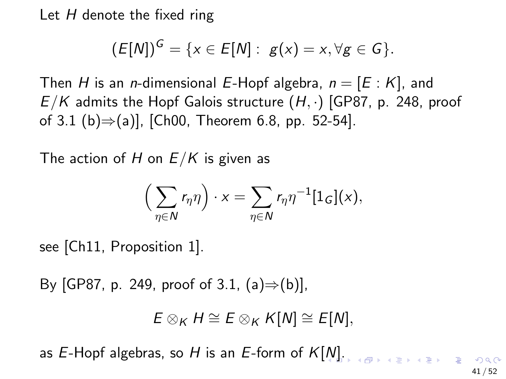Let  $H$  denote the fixed ring

$$
(E[N])^{G} = \{x \in E[N]: g(x) = x, \forall g \in G\}.
$$

Then H is an *n*-dimensional E-Hopf algebra,  $n = [E : K]$ , and  $E/K$  admits the Hopf Galois structure  $(H, \cdot)$  [\[GP87,](#page-53-0) p. 248, proof of 3.1 (b)⇒(a)], [\[Ch00,](#page-52-3) Theorem 6.8, pp. 52-54].

The action of H on  $E/K$  is given as

$$
\left(\sum_{\eta\in\mathsf{N}}r_{\eta}\eta\right)\cdot x=\sum_{\eta\in\mathsf{N}}r_{\eta}\eta^{-1}[1_G](x),
$$

see [\[Ch11,](#page-52-4) Proposition 1].

By [\[GP87,](#page-53-0) p. 249, proof of 3.1,  $(a) \Rightarrow (b)$ ],

$$
E\otimes_K H\cong E\otimes_K K[N]\cong E[N],
$$

as E-Hopf algebras, so H is an E-form of  $K[N]$  $K[N]$  $K[N]$ [.](#page-41-0)

41 / 52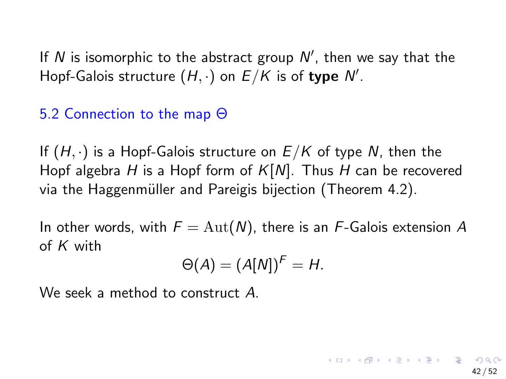<span id="page-41-0"></span>If  $N$  is isomorphic to the abstract group  $N'$ , then we say that the Hopf-Galois structure  $(H, \cdot)$  on  $E/K$  is of type  $\mathcal{N}'.$ 

### 5.2 Connection to the map Θ

If  $(H, \cdot)$  is a Hopf-Galois structure on  $E/K$  of type N, then the Hopf algebra H is a Hopf form of  $K[N]$ . Thus H can be recovered via the Haggenmüller and Pareigis bijection (Theorem 4.2).

In other words, with  $F = \text{Aut}(N)$ , there is an F-Galois extension A of  $K$  with

$$
\Theta(A) = (A[N])^F = H.
$$

42 / 52

We seek a method to construct A.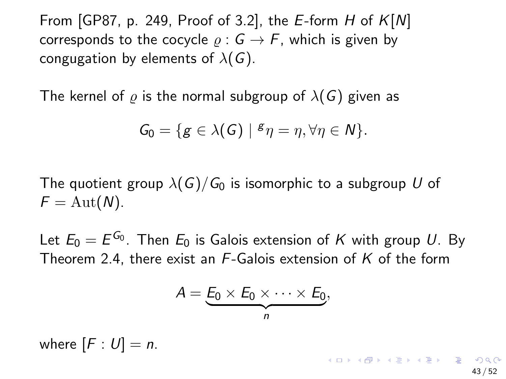From [\[GP87,](#page-53-0) p. 249, Proof of 3.2], the E-form H of  $K[N]$ corresponds to the cocycle  $\rho : G \to F$ , which is given by congugation by elements of  $\lambda(G)$ .

The kernel of  $\rho$  is the normal subgroup of  $\lambda(G)$  given as

$$
G_0 = \{ g \in \lambda(G) \mid {}^g \eta = \eta, \forall \eta \in N \}.
$$

The quotient group  $\lambda(G)/G_0$  is isomorphic to a subgroup U of  $F = \text{Aut}(N)$ .

Let  $E_0=E^{G_0}.$  Then  $E_0$  is Galois extension of  $K$  with group  $U.$  By Theorem 2.4, there exist an F-Galois extension of K of the form

$$
A=\underbrace{E_0\times E_0\times\cdots\times E_0}_{n},
$$

43 / 52

**K ロ ▶ K 個 ▶ K ミ ▶ K ミ ▶ ○ ミ → り** 

where  $[F: U] = n$ .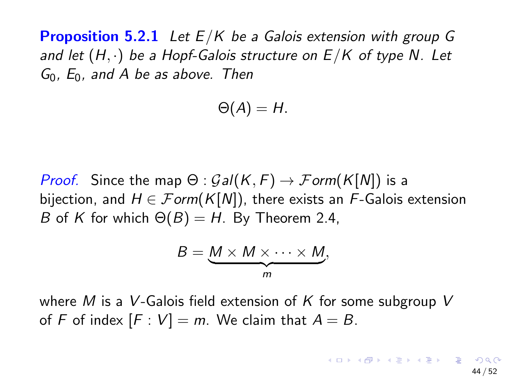<span id="page-43-0"></span>**Proposition 5.2.1** Let  $E/K$  be a Galois extension with group G and let  $(H, \cdot)$  be a Hopf-Galois structure on  $E/K$  of type N. Let  $G_0$ ,  $E_0$ , and A be as above. Then

$$
\Theta(A)=H.
$$

*Proof.* Since the map  $\Theta$  :  $Gal(K, F) \rightarrow Form(K[N])$  is a bijection, and  $H \in \mathcal{F}$ orm(K[N]), there exists an F-Galois extension B of K for which  $\Theta(B) = H$ . By Theorem 2.4,

$$
B = \underbrace{M \times M \times \cdots \times M}_{m},
$$

where M is a V-Galois field extension of K for some subgroup V of F of index  $[F: V] = m$ . We claim that  $A = B$ .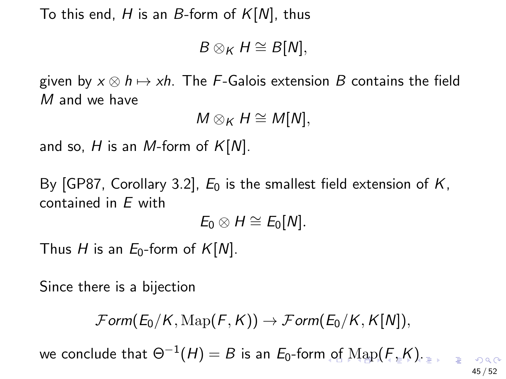<span id="page-44-0"></span>To this end, H is an B-form of  $K[N]$ , thus

 $B \otimes_K H \cong B[N],$ 

given by  $x \otimes h \mapsto xh$ . The F-Galois extension B contains the field M and we have

 $M \otimes_K H \cong M[N],$ 

and so, H is an M-form of  $K[N]$ .

By [\[GP87,](#page-53-0) Corollary 3.2],  $E_0$  is the smallest field extension of  $K$ , contained in E with

 $E_0 \otimes H \cong E_0[N].$ 

Thus H is an  $E_0$ -form of  $K[N]$ .

Since there is a bijection

 $\mathcal{F}$ orm( $E_0/K$ ,  $\text{Map}(F,K)$ )  $\rightarrow \mathcal{F}$ orm( $E_0/K$ ,  $K[N]$ ),

we conclude that  $\Theta^{-1}(H)=B$  $\Theta^{-1}(H)=B$  $\Theta^{-1}(H)=B$  is an  $E_0$ -for[m o](#page-43-0)f  $\mathrm{Map}(F,K).$  $\mathrm{Map}(F,K).$  $\mathrm{Map}(F,K).$  $\mathrm{Map}(F,K).$  $\mathrm{Map}(F,K).$  $\mathrm{Map}(F,K).$  $\mathrm{Map}(F,K).$  $\mathrm{Map}(F,K).$ 

45 / 52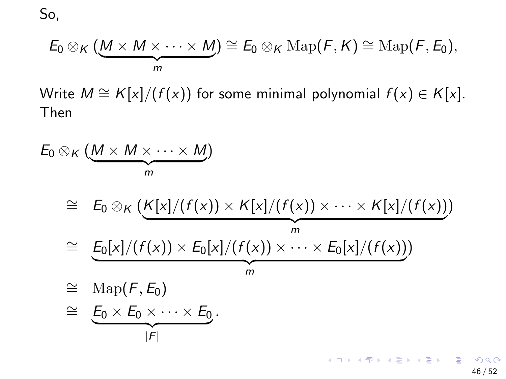<span id="page-45-0"></span>So,

$$
E_0 \otimes_K (\underbrace{M \times M \times \cdots \times M}_{m}) \cong E_0 \otimes_K \operatorname{Map}(F,K) \cong \operatorname{Map}(F,E_0),
$$

Write  $M \cong K[x]/(f(x))$  for some minimal polynomial  $f(x) \in K[x]$ . Then

$$
E_0 \otimes_K (\underbrace{M \times M \times \cdots \times M}_{m})
$$
\n
$$
\cong E_0 \otimes_K (\underbrace{K[x]/(f(x)) \times K[x]/(f(x)) \times \cdots \times K[x]/(f(x))}_{m})
$$
\n
$$
\cong \underbrace{E_0[x]/(f(x)) \times E_0[x]/(f(x)) \times \cdots \times E_0[x]/(f(x))}_{m})
$$
\n
$$
\cong \underbrace{\text{Map}(F, E_0)}_{|F|}
$$

46 / 52

K ロ ▶ K @ ▶ K 할 ▶ K 할 ▶ ① 할 → ① 익 (2)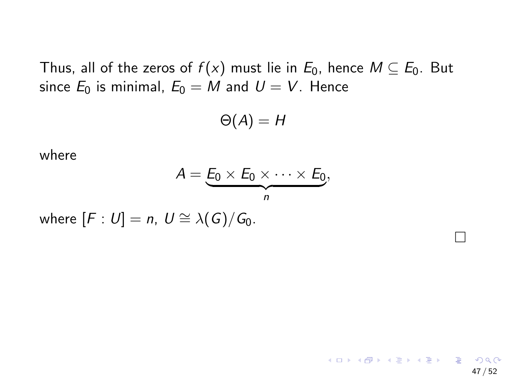Thus, all of the zeros of  $f(x)$  must lie in  $E_0$ , hence  $M \subseteq E_0$ . But since  $E_0$  is minimal,  $E_0 = M$  and  $U = V$ . Hence

$$
\Theta(A)=H
$$

where

$$
A=\underbrace{E_0\times E_0\times\cdots\times E_0}_{n},
$$

where  $[F: U] = n$ ,  $U \cong \lambda(G)/G_0$ .

 $\Box$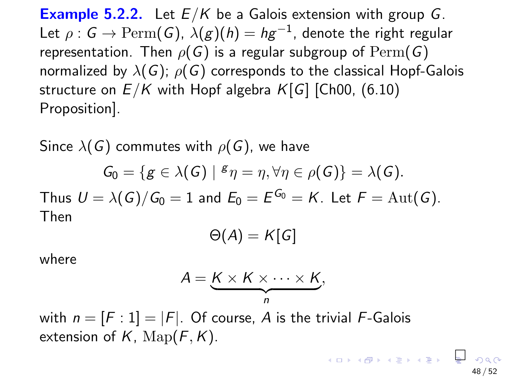**Example 5.2.2.** Let  $E/K$  be a Galois extension with group G. Let  $\rho: \mathsf{G}\to \mathrm{Perm}(\mathsf{G})$ ,  $\lambda(g)(\mathsf{h})=\mathsf{h}\mathsf{g}^{-1}$ , denote the right regular representation. Then  $\rho(G)$  is a regular subgroup of  $\text{Perm}(G)$ normalized by  $\lambda(G)$ ;  $\rho(G)$  corresponds to the classical Hopf-Galois structure on  $E/K$  with Hopf algebra  $K[G]$  [\[Ch00,](#page-52-3) (6.10) Proposition].

Since  $\lambda(G)$  commutes with  $\rho(G)$ , we have

$$
G_0 = \{ g \in \lambda(G) \mid {}^g \eta = \eta, \forall \eta \in \rho(G) \} = \lambda(G).
$$

Thus  $U = \lambda(G)/G_0 = 1$  and  $E_0 = E^{G_0} = K$ . Let  $F = \operatorname{Aut}(G)$ . Then

$$
\Theta(A)=K[G]
$$

where

$$
A = \underbrace{K \times K \times \cdots \times K}_{n},
$$

48 / 52

with  $n = [F : 1] = |F|$ . Of course, A is the trivial F-Galois extension of  $K$ ,  $\text{Map}(F, K)$ .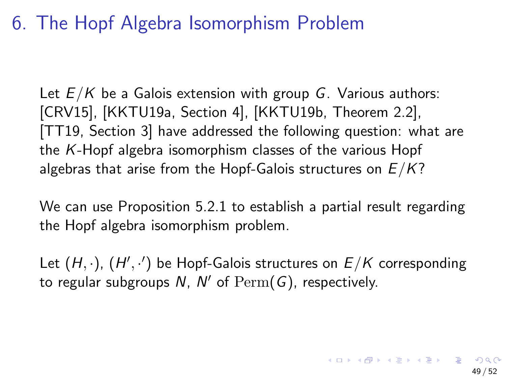### 6. The Hopf Algebra Isomorphism Problem

Let  $E/K$  be a Galois extension with group G. Various authors: [\[CRV15\]](#page-52-2), [\[KKTU19a,](#page-53-3) Section 4], [\[KKTU19b,](#page-53-4) Theorem 2.2], [\[TT19,](#page-54-3) Section 3] have addressed the following question: what are the K-Hopf algebra isomorphism classes of the various Hopf algebras that arise from the Hopf-Galois structures on  $E/K$ ?

We can use Proposition 5.2.1 to establish a partial result regarding the Hopf algebra isomorphism problem.

Let  $(H, \cdot)$ ,  $(H', \cdot')$  be Hopf-Galois structures on  $E/K$  corresponding to regular subgroups  $N$ ,  $N'$  of  $\mathrm{Perm}(\overline{G})$ , respectively.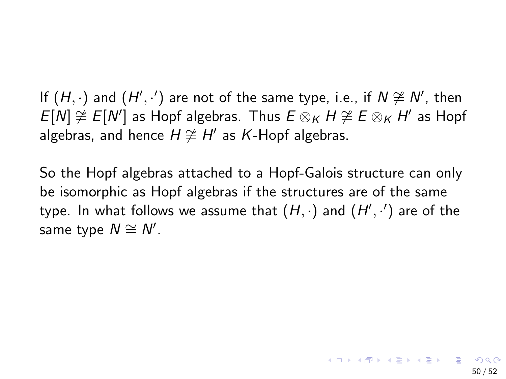If  $(H, \cdot)$  and  $(H', \cdot')$  are not of the same type, i.e., if  $N \not\cong N'$ , then  $E[N] \not\cong E[N']$  as Hopf algebras. Thus  $E \otimes_K H \not\cong E \otimes_K H'$  as Hopf algebras, and hence  $H \not\cong H'$  as K-Hopf algebras.

So the Hopf algebras attached to a Hopf-Galois structure can only be isomorphic as Hopf algebras if the structures are of the same type. In what follows we assume that  $(H,\cdot)$  and  $(H',\cdot')$  are of the same type  $N \cong N'$ .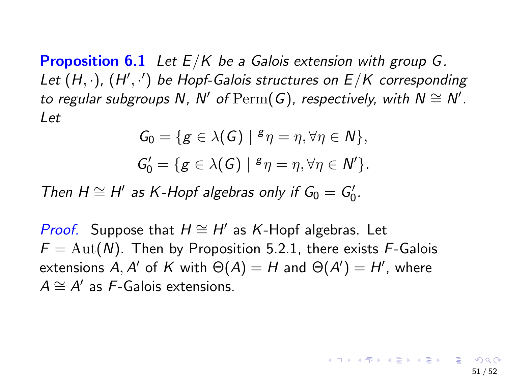**Proposition 6.1** Let  $E/K$  be a Galois extension with group G. Let  $(H, \cdot)$ ,  $(H', \cdot')$  be Hopf-Galois structures on  $E/K$  corresponding to regular subgroups N, N' of  $\mathrm{Perm}(G)$ , respectively, with  $N \cong N'$ . Let

$$
G_0 = \{ g \in \lambda(G) \mid g \eta = \eta, \forall \eta \in N \},
$$
  

$$
G'_0 = \{ g \in \lambda(G) \mid g \eta = \eta, \forall \eta \in N' \}.
$$

Then  $H \cong H'$  as K-Hopf algebras only if  $G_0 = G'_0$ .

*Proof.* Suppose that  $H \cong H'$  as K-Hopf algebras. Let  $F = \text{Aut}(N)$ . Then by Proposition 5.2.1, there exists F-Galois extensions A, A' of K with  $\Theta(A) = H$  and  $\Theta(A') = H'$ , where  $A \cong A'$  as F-Galois extensions.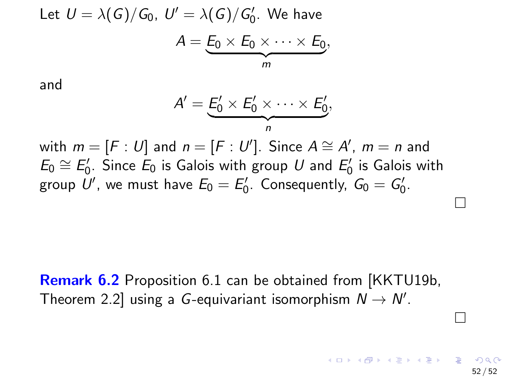Let 
$$
U = \lambda(G)/G_0
$$
,  $U' = \lambda(G)/G'_0$ . We have  

$$
A = \underbrace{E_0 \times E_0 \times \cdots \times E_0}_{m}
$$

and

$$
A'=\underbrace{E'_0\times E'_0\times\cdots\times E'_0}_{n},
$$

with  $m = [F : U]$  and  $n = [F : U']$ . Since  $A \cong A'$ ,  $m = n$  and  $E_0 \cong E'_0$ . Since  $E_0$  is Galois with group  $U$  and  $E'_0$  is Galois with group  $U'$ , we must have  $E_0 = E'_0$ . Consequently,  $G_0 = G'_0$ .

**Remark 6.2** Proposition 6.1 can be obtained from [\[KKTU19b,](#page-53-4) Theorem 2.2] using a G-equivariant isomorphism  $N \to N'$ .

 $\Box$ 

 $\Box$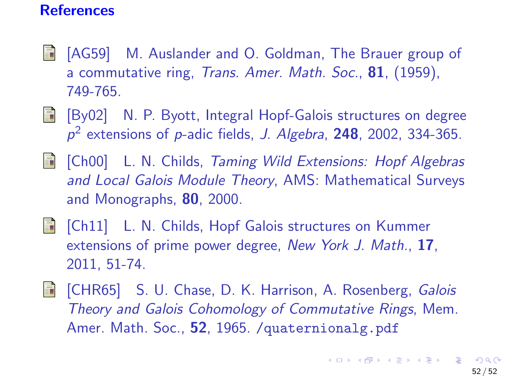#### **References**

- <span id="page-52-0"></span>[AG59] M. Auslander and O. Goldman, The Brauer group of a commutative ring, Trans. Amer. Math. Soc., 81, (1959), 749-765.
- **E** [By02] N. P. Byott, Integral Hopf-Galois structures on degree  $p^2$  extensions of p-adic fields, J. Algebra, 248, 2002, 334-365.
- <span id="page-52-3"></span>**i** [Ch00] L. N. Childs, Taming Wild Extensions: Hopf Algebras and Local Galois Module Theory, AMS: Mathematical Surveys and Monographs, 80, 2000.
- <span id="page-52-4"></span>**Fi** [Ch11] L. N. Childs, Hopf Galois structures on Kummer extensions of prime power degree, New York J. Math., 17, 2011, 51-74.
- <span id="page-52-2"></span><span id="page-52-1"></span>**Follon Film Film Film S. U. Chase, D. K. Harrison, A. Rosenberg, Galois** Theory and Galois Cohomology of Commutative Rings, Mem. Amer. Math. Soc., 52, 1965. / quaternionalg.pdf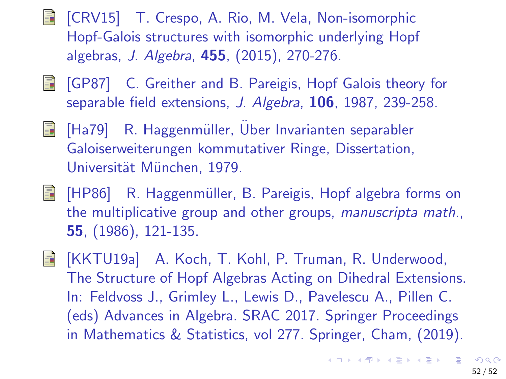- **T.** [CRV15] T. Crespo, A. Rio, M. Vela, Non-isomorphic Hopf-Galois structures with isomorphic underlying Hopf algebras, J. Algebra, 455, (2015), 270-276.
- <span id="page-53-0"></span>**F** [GP87] C. Greither and B. Pareigis, Hopf Galois theory for separable field extensions, J. Algebra, 106, 1987, 239-258.
- <span id="page-53-2"></span>**F** [Ha79] R. Haggenmüller, Über Invarianten separabler Galoiserweiterungen kommutativer Ringe, Dissertation, Universität München, 1979.
- <span id="page-53-1"></span>**Fig.** [HP86] R. Haggenmüller, B. Pareigis, Hopf algebra forms on the multiplicative group and other groups, manuscripta math., 55, (1986), 121-135.
- <span id="page-53-4"></span><span id="page-53-3"></span>[KKTU19a] A. Koch, T. Kohl, P. Truman, R. Underwood, The Structure of Hopf Algebras Acting on Dihedral Extensions. In: Feldvoss J., Grimley L., Lewis D., Pavelescu A., Pillen C. (eds) Advances in Algebra. SRAC 2017. Springer Proceedings in Mathematics & Statistics, vol 277. Springer, Cham, (2019).